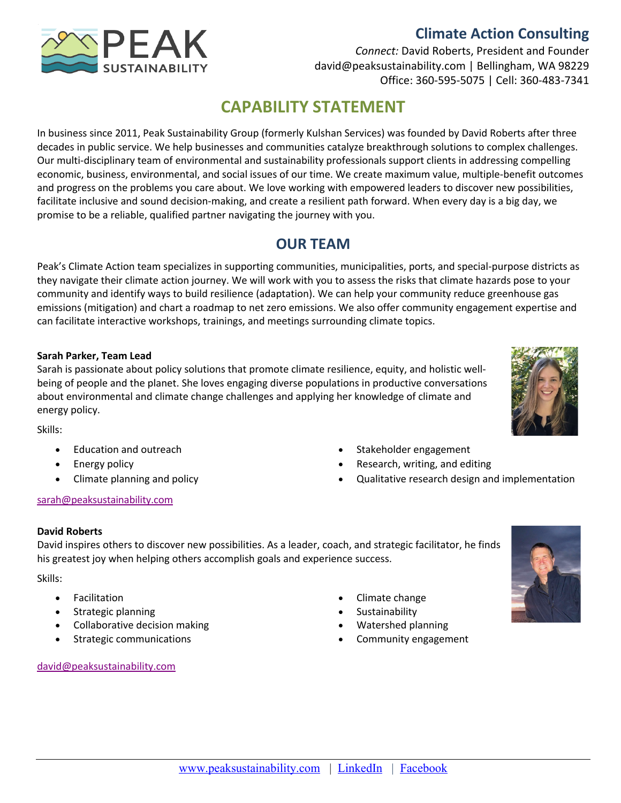# **Climate Action Consulting**



*Connect:* David Roberts, President and Founder david@peaksustainability.com | Bellingham, WA 98229 Office: 360-595-5075 | Cell: 360-483-7341

# **CAPABILITY STATEMENT**

In business since 2011, Peak Sustainability Group (formerly Kulshan Services) was founded by David Roberts after three decades in public service. We help businesses and communities catalyze breakthrough solutions to complex challenges. Our multi-disciplinary team of environmental and sustainability professionals support clients in addressing compelling economic, business, environmental, and social issues of our time. We create maximum value, multiple-benefit outcomes and progress on the problems you care about. We love working with empowered leaders to discover new possibilities, facilitate inclusive and sound decision-making, and create a resilient path forward. When every day is a big day, we promise to be a reliable, qualified partner navigating the journey with you.

# **OUR TEAM**

Peak's Climate Action team specializes in supporting communities, municipalities, ports, and special-purpose districts as they navigate their climate action journey. We will work with you to assess the risks that climate hazards pose to your community and identify ways to build resilience (adaptation). We can help your community reduce greenhouse gas emissions (mitigation) and chart a roadmap to net zero emissions. We also offer community engagement expertise and can facilitate interactive workshops, trainings, and meetings surrounding climate topics.

### **Sarah Parker, Team Lead**

Sarah is passionate about policy solutions that promote climate resilience, equity, and holistic wellbeing of people and the planet. She loves engaging diverse populations in productive conversations about environmental and climate change challenges and applying her knowledge of climate and energy policy.



- Skills:
	- Education and outreach
	- Energy policy
	- Climate planning and policy

### sarah@peaksustainability.com

**David Roberts**

David inspires others to discover new possibilities. As a leader, coach, and strategic facilitator, he finds his greatest joy when helping others accomplish goals and experience success.

Skills:

- **Facilitation**
- Strategic planning
- Collaborative decision making
- Strategic communications

### david@peaksustainability.com

- Climate change
- **Sustainability**
- Watershed planning
- Community engagement

• Stakeholder engagement

• Research, writing, and editing

• Qualitative research design and implementation

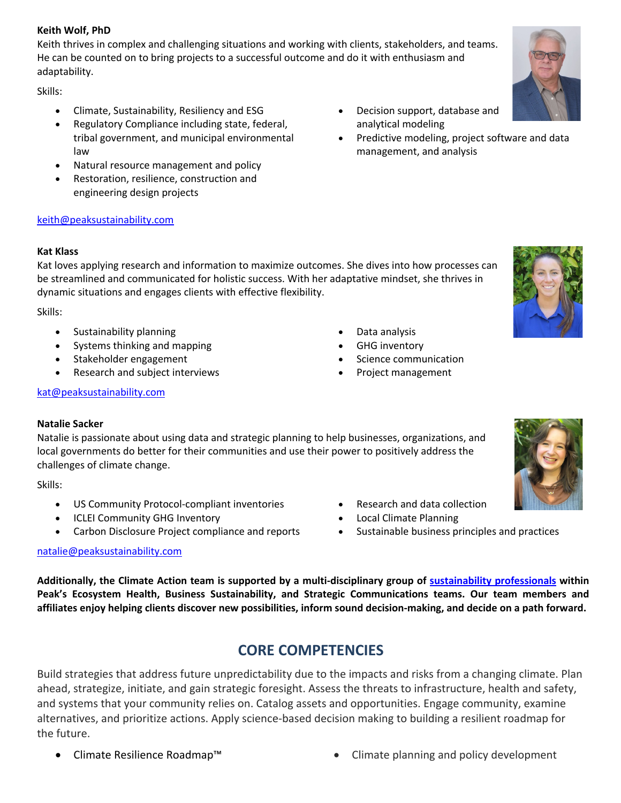### **Keith Wolf, PhD**

Keith thrives in complex and challenging situations and working with clients, stakeholders, and teams. He can be counted on to bring projects to a successful outcome and do it with enthusiasm and adaptability.

Skills:

- Climate, Sustainability, Resiliency and ESG
- Regulatory Compliance including state, federal, tribal government, and municipal environmental law
- Natural resource management and policy
- Restoration, resilience, construction and engineering design projects

### keith@peaksustainability.com

#### **Kat Klass**

Kat loves applying research and information to maximize outcomes. She dives into how processes can be streamlined and communicated for holistic success. With her adaptative mindset, she thrives in dynamic situations and engages clients with effective flexibility.

Skills:

- Sustainability planning
- Systems thinking and mapping
- Stakeholder engagement
- Research and subject interviews

#### kat@peaksustainability.com

#### **Natalie Sacker**

Natalie is passionate about using data and strategic planning to help businesses, organizations, and local governments do better for their communities and use their power to positively address the challenges of climate change.

Skills:

- US Community Protocol-compliant inventories
- ICLEI Community GHG Inventory
- Carbon Disclosure Project compliance and reports

#### natalie@peaksustainability.com

**Additionally, the Climate Action team is supported by a multi-disciplinary group of sustainability professionals within Peak's Ecosystem Health, Business Sustainability, and Strategic Communications teams. Our team members and affiliates enjoy helping clients discover new possibilities, inform sound decision-making, and decide on a path forward.**

# **CORE COMPETENCIES**

Build strategies that address future unpredictability due to the impacts and risks from a changing climate. Plan ahead, strategize, initiate, and gain strategic foresight. Assess the threats to infrastructure, health and safety, and systems that your community relies on. Catalog assets and opportunities. Engage community, examine alternatives, and prioritize actions. Apply science-based decision making to building a resilient roadmap for the future.

- Decision support, database and analytical modeling
- Predictive modeling, project software and data management, and analysis

- 
- GHG inventory
- Science communication

• Research and data collection • Local Climate Planning

• Sustainable business principles and practices





• Climate Resilience Roadmap™ • Climate planning and policy development

- Data analysis
- 
- 
- 
- - Project management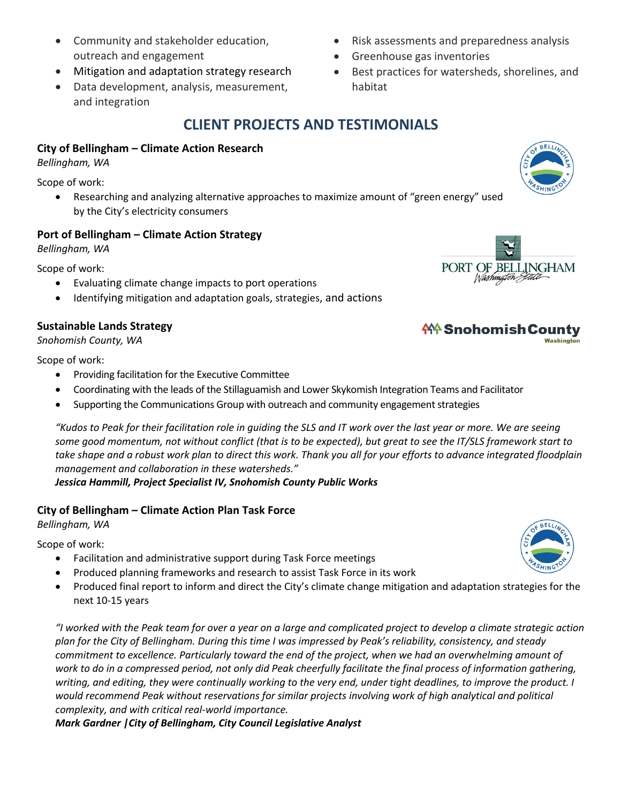- Community and stakeholder education, outreach and engagement
- Mitigation and adaptation strategy research
- Data development, analysis, measurement, and integration
- Risk assessments and preparedness analysis
- Greenhouse gas inventories
- Best practices for watersheds, shorelines, and habitat

# **CLIENT PROJECTS AND TESTIMONIALS**

## **City of Bellingham – Climate Action Research**

*Bellingham, WA*

Scope of work:

• Researching and analyzing alternative approaches to maximize amount of "green energy" used by the City's electricity consumers

## **Port of Bellingham – Climate Action Strategy**

*Bellingham, WA*

Scope of work:

- Evaluating climate change impacts to port operations
- Identifying mitigation and adaptation goals, strategies, and actions

## **Sustainable Lands Strategy**

*Snohomish County, WA*

Scope of work:

- Providing facilitation for the Executive Committee
- Coordinating with the leads of the Stillaguamish and Lower Skykomish Integration Teams and Facilitator
- Supporting the Communications Group with outreach and community engagement strategies

*"Kudos to Peak for their facilitation role in guiding the SLS and IT work over the last year or more. We are seeing some good momentum, not without conflict (that is to be expected), but great to see the IT/SLS framework start to take shape and a robust work plan to direct this work. Thank you all for your efforts to advance integrated floodplain management and collaboration in these watersheds."*

*Jessica Hammill, Project Specialist IV, Snohomish County Public Works*

### **City of Bellingham – Climate Action Plan Task Force**

*Bellingham, WA*

Scope of work:

- Facilitation and administrative support during Task Force meetings
- Produced planning frameworks and research to assist Task Force in its work
- Produced final report to inform and direct the City's climate change mitigation and adaptation strategies for the next 10-15 years

*"I worked with the Peak team for over a year on a large and complicated project to develop a climate strategic action plan for the City of Bellingham. During this time I was impressed by Peak's reliability, consistency, and steady commitment to excellence. Particularly toward the end of the project, when we had an overwhelming amount of work to do in a compressed period, not only did Peak cheerfully facilitate the final process of information gathering, writing, and editing, they were continually working to the very end, under tight deadlines, to improve the product. I*  would recommend Peak without reservations for similar projects involving work of high analytical and political *complexity, and with critical real-world importance.*

*Mark Gardner |City of Bellingham, City Council Legislative Analyst*



# **俗 Snohomish County**